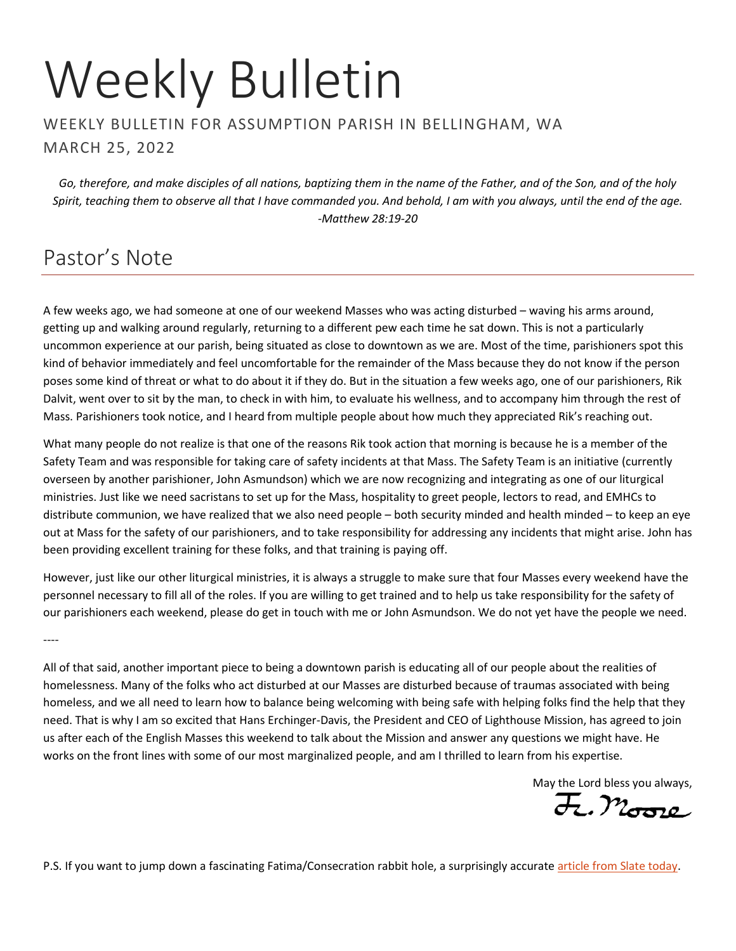# Weekly Bulletin

WEEKLY BULLETIN FOR ASSUMPTION PARISH IN BELLINGHAM, WA MARCH 25, 2022

*Go, therefore, and make disciples of all nations, baptizing them in the name of the Father, and of the Son, and of the holy Spirit, teaching them to observe all that I have commanded you. And behold, I am with you always, until the end of the age. -Matthew 28:19-20*

### Pastor's Note

A few weeks ago, we had someone at one of our weekend Masses who was acting disturbed – waving his arms around, getting up and walking around regularly, returning to a different pew each time he sat down. This is not a particularly uncommon experience at our parish, being situated as close to downtown as we are. Most of the time, parishioners spot this kind of behavior immediately and feel uncomfortable for the remainder of the Mass because they do not know if the person poses some kind of threat or what to do about it if they do. But in the situation a few weeks ago, one of our parishioners, Rik Dalvit, went over to sit by the man, to check in with him, to evaluate his wellness, and to accompany him through the rest of Mass. Parishioners took notice, and I heard from multiple people about how much they appreciated Rik's reaching out.

What many people do not realize is that one of the reasons Rik took action that morning is because he is a member of the Safety Team and was responsible for taking care of safety incidents at that Mass. The Safety Team is an initiative (currently overseen by another parishioner, John Asmundson) which we are now recognizing and integrating as one of our liturgical ministries. Just like we need sacristans to set up for the Mass, hospitality to greet people, lectors to read, and EMHCs to distribute communion, we have realized that we also need people – both security minded and health minded – to keep an eye out at Mass for the safety of our parishioners, and to take responsibility for addressing any incidents that might arise. John has been providing excellent training for these folks, and that training is paying off.

However, just like our other liturgical ministries, it is always a struggle to make sure that four Masses every weekend have the personnel necessary to fill all of the roles. If you are willing to get trained and to help us take responsibility for the safety of our parishioners each weekend, please do get in touch with me or John Asmundson. We do not yet have the people we need.

----

All of that said, another important piece to being a downtown parish is educating all of our people about the realities of homelessness. Many of the folks who act disturbed at our Masses are disturbed because of traumas associated with being homeless, and we all need to learn how to balance being welcoming with being safe with helping folks find the help that they need. That is why I am so excited that Hans Erchinger-Davis, the President and CEO of Lighthouse Mission, has agreed to join us after each of the English Masses this weekend to talk about the Mission and answer any questions we might have. He works on the front lines with some of our most marginalized people, and am I thrilled to learn from his expertise.

May the Lord bless you always,

P.S. If you want to jump down a fascinating Fatima/Consecration rabbit hole, a surprisingly accurate [article from Slate today.](https://slate.com/news-and-politics/2022/03/pope-francis-consecration-ukraine-russia-fatima-conspiracy-theories.html)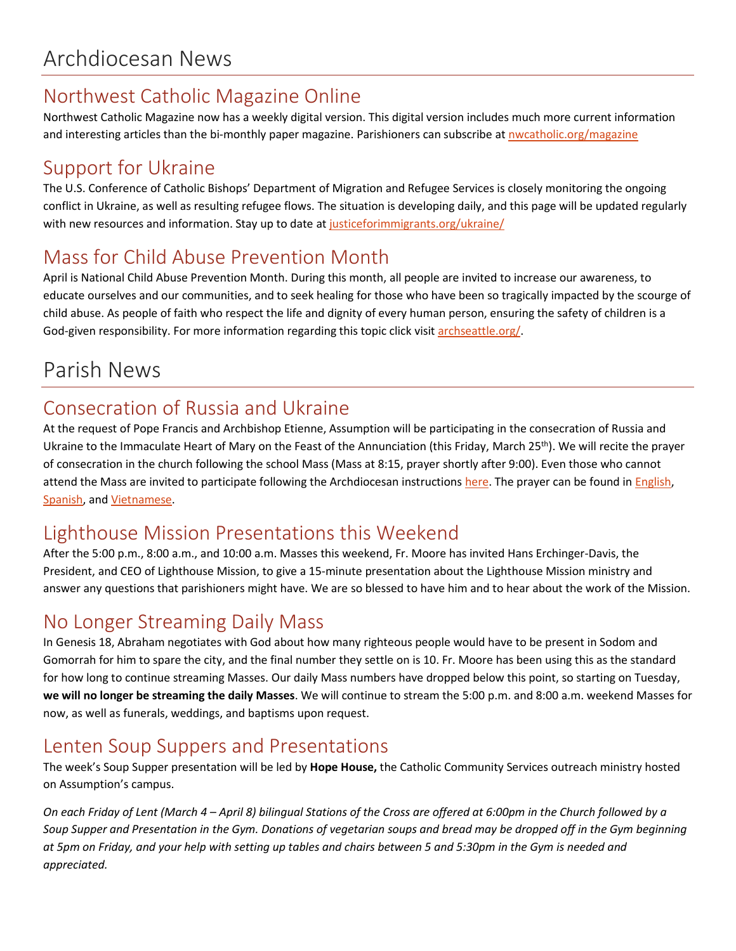### Northwest Catholic Magazine Online

Northwest Catholic Magazine now has a weekly digital version. This digital version includes much more current information and interesting articles than the bi-monthly paper magazine. Parishioners can subscribe at nwcatholic.org/magazine

### Support for Ukraine

The U.S. Conference of Catholic Bishops' Department of Migration and Refugee Services is closely monitoring the ongoing conflict in Ukraine, as well as resulting refugee flows. The situation is developing daily, and this page will be updated regularly with new resources and information. Stay up to date at [justiceforimmigrants.org/ukraine/](https://justiceforimmigrants.org/ukraine/)

### Mass for Child Abuse Prevention Month

April is National Child Abuse Prevention Month. During this month, all people are invited to increase our awareness, to educate ourselves and our communities, and to seek healing for those who have been so tragically impacted by the scourge of child abuse. As people of faith who respect the life and dignity of every human person, ensuring the safety of children is a God-given responsibility. For more information regarding this topic click visi[t archseattle.org/.](https://archseattle.org/)

# Parish News

### Consecration of Russia and Ukraine

At the request of Pope Francis and Archbishop Etienne, Assumption will be participating in the consecration of Russia and Ukraine to the Immaculate Heart of Mary on the Feast of the Annunciation (this Friday, March 25<sup>th</sup>). We will recite the prayer of consecration in the church following the school Mass (Mass at 8:15, prayer shortly after 9:00). Even those who cannot attend the Mass are invited to participate following the Archdiocesan instructions [here.](https://archseattle.org/event/pray-for-peace-and-the-consecration-of-russia-and-ukraine-to-the-immaculate-heart-of-mary/) The prayer can be found i[n English,](https://archseattle.org/wp-content/uploads/2022/03/Pope-Francis-Act-of-Consecration-2022.pdf) [Spanish,](https://archseattle.org/wp-content/uploads/2022/03/Pope-Francis-Act-of-Consecraton-2022_SPANISH.pdf) an[d Vietnamese.](https://archseattle.org/wp-content/uploads/2022/03/Vietnamese-Language-Act-of-Consecration-min.pdf)

### Lighthouse Mission Presentations this Weekend

After the 5:00 p.m., 8:00 a.m., and 10:00 a.m. Masses this weekend, Fr. Moore has invited Hans Erchinger-Davis, the President, and CEO of Lighthouse Mission, to give a 15-minute presentation about the Lighthouse Mission ministry and answer any questions that parishioners might have. We are so blessed to have him and to hear about the work of the Mission.

### No Longer Streaming Daily Mass

In Genesis 18, Abraham negotiates with God about how many righteous people would have to be present in Sodom and Gomorrah for him to spare the city, and the final number they settle on is 10. Fr. Moore has been using this as the standard for how long to continue streaming Masses. Our daily Mass numbers have dropped below this point, so starting on Tuesday, **we will no longer be streaming the daily Masses**. We will continue to stream the 5:00 p.m. and 8:00 a.m. weekend Masses for now, as well as funerals, weddings, and baptisms upon request.

### Lenten Soup Suppers and Presentations

The week's Soup Supper presentation will be led by **Hope House,** the Catholic Community Services outreach ministry hosted on Assumption's campus.

*On each Friday of Lent (March 4 – April 8) bilingual Stations of the Cross are offered at 6:00pm in the Church followed by a Soup Supper and Presentation in the Gym. Donations of vegetarian soups and bread may be dropped off in the Gym beginning at 5pm on Friday, and your help with setting up tables and chairs between 5 and 5:30pm in the Gym is needed and appreciated.*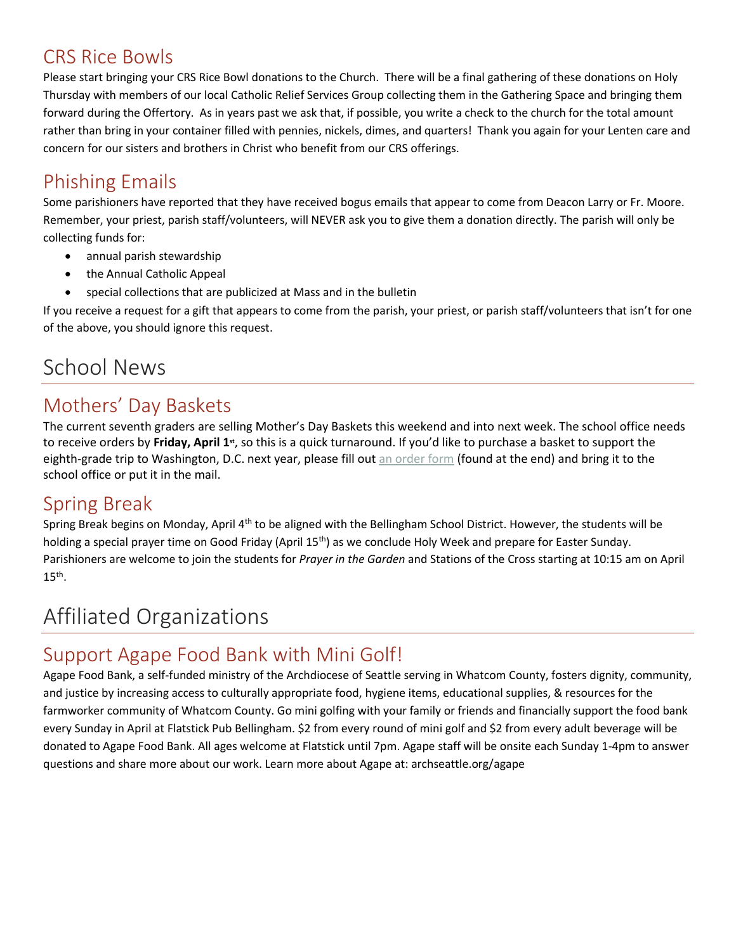### CRS Rice Bowls

Please start bringing your CRS Rice Bowl donations to the Church. There will be a final gathering of these donations on Holy Thursday with members of our local Catholic Relief Services Group collecting them in the Gathering Space and bringing them forward during the Offertory. As in years past we ask that, if possible, you write a check to the church for the total amount rather than bring in your container filled with pennies, nickels, dimes, and quarters! Thank you again for your Lenten care and concern for our sisters and brothers in Christ who benefit from our CRS offerings.

### Phishing Emails

Some parishioners have reported that they have received bogus emails that appear to come from Deacon Larry or Fr. Moore. Remember, your priest, parish staff/volunteers, will NEVER ask you to give them a donation directly. The parish will only be collecting funds for:

- annual parish stewardship
- the Annual Catholic Appeal
- special collections that are publicized at Mass and in the bulletin

If you receive a request for a gift that appears to come from the parish, your priest, or parish staff/volunteers that isn't for one of the above, you should ignore this request.

## School News

### Mothers' Day Baskets

The current seventh graders are selling Mother's Day Baskets this weekend and into next week. The school office needs to receive orders by Friday, April 1<sup>st</sup>, so this is a quick turnaround. If you'd like to purchase a basket to support the eighth-grade trip to Washington, D.C. next year, please fill out [an order form](https://school.assumption.org/wp-content/uploads/2022/03/Hanging-Baskets.pdf) (found at the end) and bring it to the school office or put it in the mail.

### Spring Break

Spring Break begins on Monday, April 4<sup>th</sup> to be aligned with the Bellingham School District. However, the students will be holding a special prayer time on Good Friday (April 15<sup>th</sup>) as we conclude Holy Week and prepare for Easter Sunday. Parishioners are welcome to join the students for *Prayer in the Garden* and Stations of the Cross starting at 10:15 am on April  $15<sup>th</sup>$ .

# Affiliated Organizations

### Support Agape Food Bank with Mini Golf!

Agape Food Bank, a self-funded ministry of the Archdiocese of Seattle serving in Whatcom County, fosters dignity, community, and justice by increasing access to culturally appropriate food, hygiene items, educational supplies, & resources for the farmworker community of Whatcom County. Go mini golfing with your family or friends and financially support the food bank every Sunday in April at Flatstick Pub Bellingham. \$2 from every round of mini golf and \$2 from every adult beverage will be donated to Agape Food Bank. All ages welcome at Flatstick until 7pm. Agape staff will be onsite each Sunday 1-4pm to answer questions and share more about our work. Learn more about Agape at: archseattle.org/agape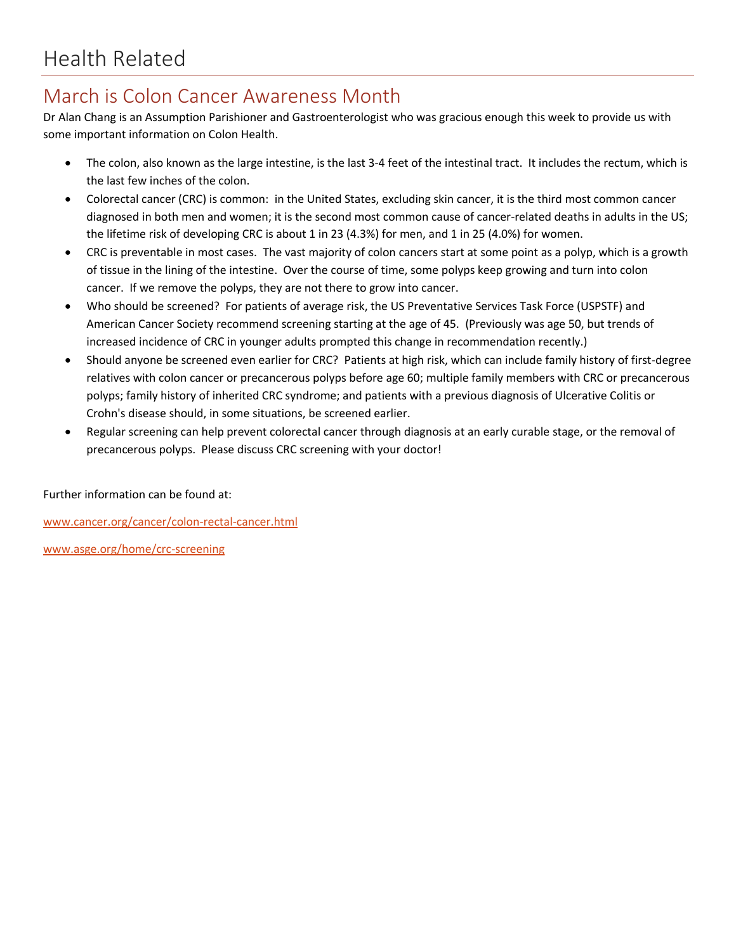### March is Colon Cancer Awareness Month

Dr Alan Chang is an Assumption Parishioner and Gastroenterologist who was gracious enough this week to provide us with some important information on Colon Health.

- The colon, also known as the large intestine, is the last 3-4 feet of the intestinal tract. It includes the rectum, which is the last few inches of the colon.
- Colorectal cancer (CRC) is common: in the United States, excluding skin cancer, it is the third most common cancer diagnosed in both men and women; it is the second most common cause of cancer-related deaths in adults in the US; the lifetime risk of developing CRC is about 1 in 23 (4.3%) for men, and 1 in 25 (4.0%) for women.
- CRC is preventable in most cases. The vast majority of colon cancers start at some point as a polyp, which is a growth of tissue in the lining of the intestine. Over the course of time, some polyps keep growing and turn into colon cancer. If we remove the polyps, they are not there to grow into cancer.
- Who should be screened? For patients of average risk, the US Preventative Services Task Force (USPSTF) and American Cancer Society recommend screening starting at the age of 45. (Previously was age 50, but trends of increased incidence of CRC in younger adults prompted this change in recommendation recently.)
- Should anyone be screened even earlier for CRC? Patients at high risk, which can include family history of first-degree relatives with colon cancer or precancerous polyps before age 60; multiple family members with CRC or precancerous polyps; family history of inherited CRC syndrome; and patients with a previous diagnosis of Ulcerative Colitis or Crohn's disease should, in some situations, be screened earlier.
- Regular screening can help prevent colorectal cancer through diagnosis at an early curable stage, or the removal of precancerous polyps. Please discuss CRC screening with your doctor!

Further information can be found at:

[www.cancer.org/cancer/colon-rectal-cancer.html](http://www.cancer.org/cancer/colon-rectal-cancer.html)

[www.asge.org/home/crc-screening](http://www.asge.org/home/crc-screening)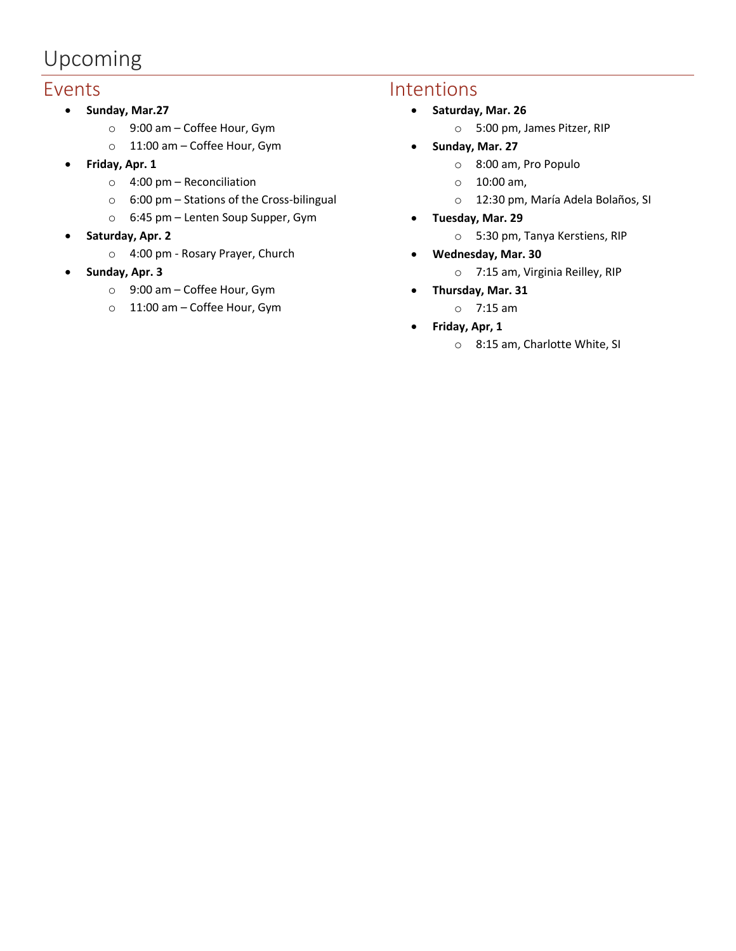# Upcoming

#### Events

- **Sunday, Mar.27**
	- o 9:00 am Coffee Hour, Gym
	- o 11:00 am Coffee Hour, Gym
- **Friday, Apr. 1**
	- o 4:00 pm Reconciliation
	- $\circ$  6:00 pm Stations of the Cross-bilingual
	- o 6:45 pm Lenten Soup Supper, Gym
- **Saturday, Apr. 2**
	- o 4:00 pm Rosary Prayer, Church
- **Sunday, Apr. 3**
	- o 9:00 am Coffee Hour, Gym
	- o 11:00 am Coffee Hour, Gym

### Intentions

- **Saturday, Mar. 26**
	- o 5:00 pm, James Pitzer, RIP
- **Sunday, Mar. 27**
	- o 8:00 am, Pro Populo
	- o 10:00 am,
	- o 12:30 pm, María Adela Bolaños, SI
- **Tuesday, Mar. 29**
	- o 5:30 pm, Tanya Kerstiens, RIP
- **Wednesday, Mar. 30**
	- o 7:15 am, Virginia Reilley, RIP
- **Thursday, Mar. 31**
	- o 7:15 am
- **Friday, Apr, 1**
	- o 8:15 am, Charlotte White, SI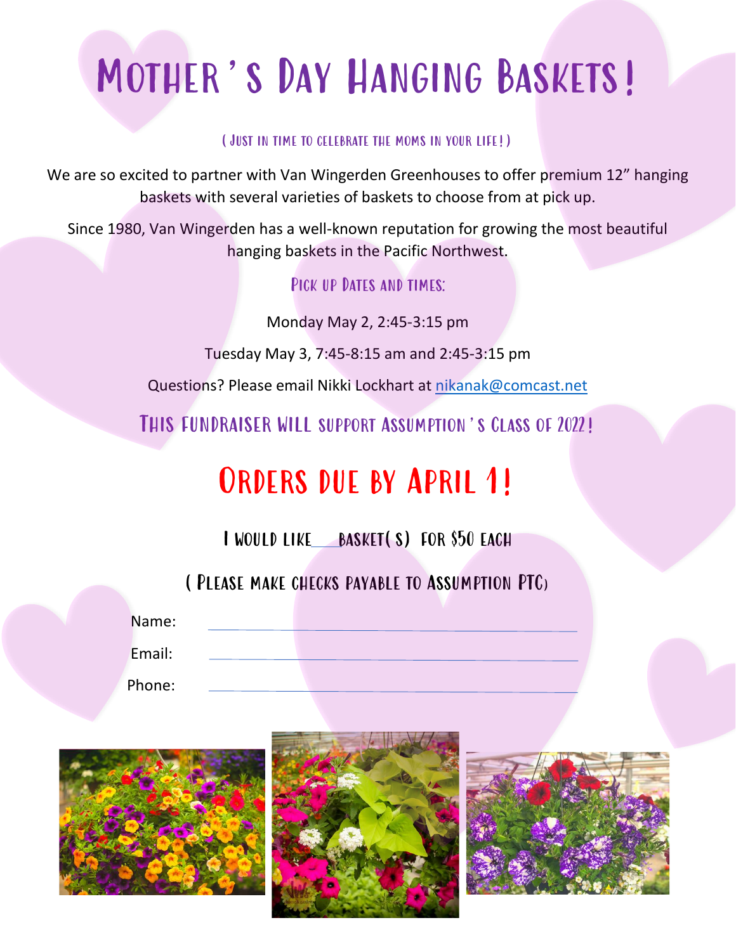# MOTHER'S DAY HANGING BASKETS!

#### (Just in time to celebrate the moms in your life!)

We are so excited to partner with Van Wingerden Greenhouses to offer premium 12" hanging baskets with several varieties of baskets to choose from at pick up.

Since 1980, Van Wingerden has a well-known reputation for growing the most beautiful hanging baskets in the Pacific Northwest.

### PICK UP DATES AND TIMES:

Monday May 2, 2:45-3:15 pm

Tuesday May 3, 7:45-8:15 am and 2:45-3:15 pm

Questions? Please email Nikki Lockhart at [nikanak@comcast.net](mailto:nikanak@comcast.net)

This fundraiser will support Assumption's Class of 2022!

# ORDERS DUE BY APRIL 1!

I would like basket(s) for \$50 each

(Please make checks payable to Assumption PTC)

Name:

Email:

Phone:





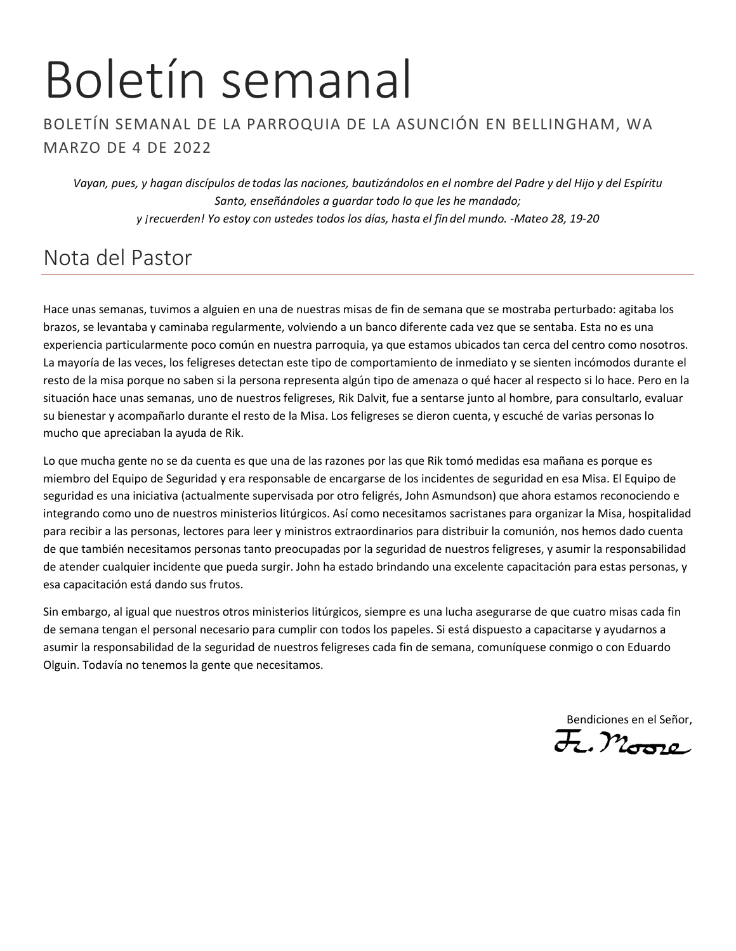# Boletín semanal

#### BOLETÍN SEMANAL DE LA PARROQUIA DE LA ASUNCIÓN EN BELLINGHAM, WA MARZO DE 4 DE 2022

*Vayan, pues, y hagan discípulos de todas las naciones, bautizándolos en el nombre del Padre y del Hijo y del Espíritu Santo, enseñándoles a guardar todo lo que les he mandado; y ¡recuerden! Yo estoy con ustedes todos los días, hasta el fin del mundo. -Mateo 28, 19-20*

## Nota del Pastor

Hace unas semanas, tuvimos a alguien en una de nuestras misas de fin de semana que se mostraba perturbado: agitaba los brazos, se levantaba y caminaba regularmente, volviendo a un banco diferente cada vez que se sentaba. Esta no es una experiencia particularmente poco común en nuestra parroquia, ya que estamos ubicados tan cerca del centro como nosotros. La mayoría de las veces, los feligreses detectan este tipo de comportamiento de inmediato y se sienten incómodos durante el resto de la misa porque no saben si la persona representa algún tipo de amenaza o qué hacer al respecto si lo hace. Pero en la situación hace unas semanas, uno de nuestros feligreses, Rik Dalvit, fue a sentarse junto al hombre, para consultarlo, evaluar su bienestar y acompañarlo durante el resto de la Misa. Los feligreses se dieron cuenta, y escuché de varias personas lo mucho que apreciaban la ayuda de Rik.

Lo que mucha gente no se da cuenta es que una de las razones por las que Rik tomó medidas esa mañana es porque es miembro del Equipo de Seguridad y era responsable de encargarse de los incidentes de seguridad en esa Misa. El Equipo de seguridad es una iniciativa (actualmente supervisada por otro feligrés, John Asmundson) que ahora estamos reconociendo e integrando como uno de nuestros ministerios litúrgicos. Así como necesitamos sacristanes para organizar la Misa, hospitalidad para recibir a las personas, lectores para leer y ministros extraordinarios para distribuir la comunión, nos hemos dado cuenta de que también necesitamos personas tanto preocupadas por la seguridad de nuestros feligreses, y asumir la responsabilidad de atender cualquier incidente que pueda surgir. John ha estado brindando una excelente capacitación para estas personas, y esa capacitación está dando sus frutos.

Sin embargo, al igual que nuestros otros ministerios litúrgicos, siempre es una lucha asegurarse de que cuatro misas cada fin de semana tengan el personal necesario para cumplir con todos los papeles. Si está dispuesto a capacitarse y ayudarnos a asumir la responsabilidad de la seguridad de nuestros feligreses cada fin de semana, comuníquese conmigo o con Eduardo Olguin. Todavía no tenemos la gente que necesitamos.

Bendiciones en el Señor,<br>72 Decembre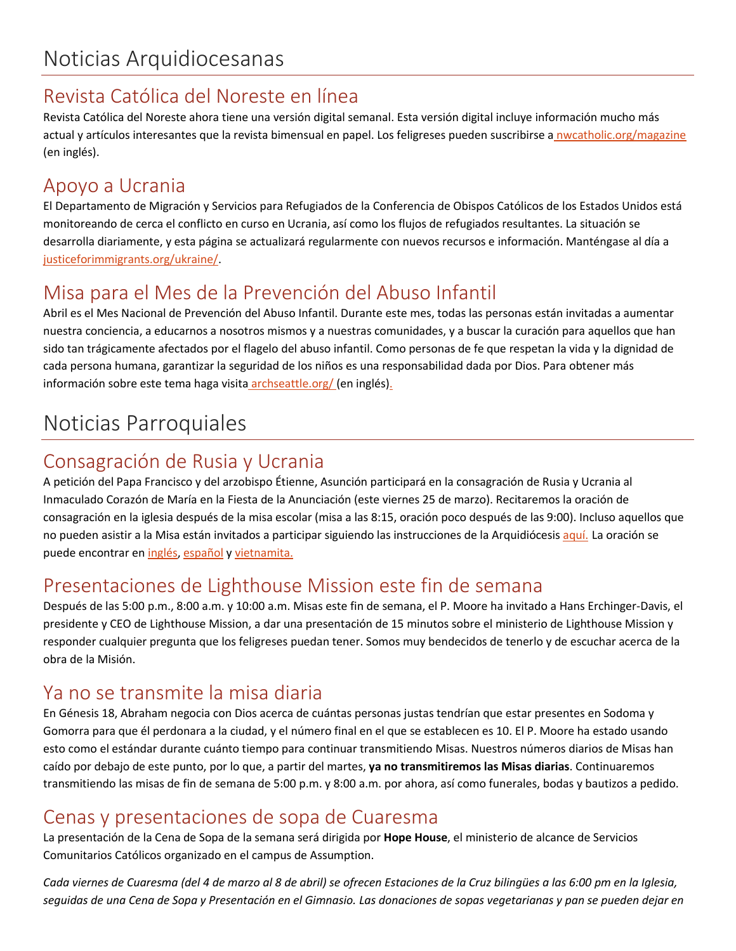### Revista Católica del Noreste en línea

Revista Católica del Noreste ahora tiene una versión digital semanal. Esta versión digital incluye información mucho más actual y artículos interesantes que la revista bimensual en papel. Los feligreses pueden suscribirse a nwcatholic.org/magazine (en inglés).

### Apoyo a Ucrania

El Departamento de Migración y Servicios para Refugiados de la Conferencia de Obispos Católicos de los Estados Unidos está monitoreando de cerca el conflicto en curso en Ucrania, así como los flujos de refugiados resultantes. La situación se desarrolla diariamente, y esta página se actualizará regularmente con nuevos recursos e información. Manténgase al día a [justiceforimmigrants.org/ukraine/.](https://justiceforimmigrants.org/ukraine/)

## Misa para el Mes de la Prevención del Abuso Infantil

Abril es el Mes Nacional de Prevención del Abuso Infantil. Durante este mes, todas las personas están invitadas a aumentar nuestra conciencia, a educarnos a nosotros mismos y a nuestras comunidades, y a buscar la curación para aquellos que han sido tan trágicamente afectados por el flagelo del abuso infantil. Como personas de fe que respetan la vida y la dignidad de cada persona humana, garantizar la seguridad de los niños es una responsabilidad dada por Dios. Para obtener más información sobre este tema haga visita archseattle.org/ (en inglés).

# Noticias Parroquiales

### Consagración de Rusia y Ucrania

A petición del Papa Francisco y del arzobispo Étienne, Asunción participará en la consagración de Rusia y Ucrania al Inmaculado Corazón de María en la Fiesta de la Anunciación (este viernes 25 de marzo). Recitaremos la oración de consagración en la iglesia después de la misa escolar (misa a las 8:15, oración poco después de las 9:00). Incluso aquellos que no pueden asistir a la Misa están invitados a participar siguiendo las instrucciones de la Arquidiócesis [aquí.](https://archseattle.org/event/pray-for-peace-and-the-consecration-of-russia-and-ukraine-to-the-immaculate-heart-of-mary/) La oración se puede encontrar en [inglés,](https://archseattle.org/wp-content/uploads/2022/03/Pope-Francis-Act-of-Consecration-2022.pdf) [español](https://archseattle.org/wp-content/uploads/2022/03/Pope-Francis-Act-of-Consecraton-2022_SPANISH.pdf) y [vietnamita.](https://archseattle.org/wp-content/uploads/2022/03/Vietnamese-Language-Act-of-Consecration-min.pdf)

### Presentaciones de Lighthouse Mission este fin de semana

Después de las 5:00 p.m., 8:00 a.m. y 10:00 a.m. Misas este fin de semana, el P. Moore ha invitado a Hans Erchinger-Davis, el presidente y CEO de Lighthouse Mission, a dar una presentación de 15 minutos sobre el ministerio de Lighthouse Mission y responder cualquier pregunta que los feligreses puedan tener. Somos muy bendecidos de tenerlo y de escuchar acerca de la obra de la Misión.

### Ya no se transmite la misa diaria

En Génesis 18, Abraham negocia con Dios acerca de cuántas personas justas tendrían que estar presentes en Sodoma y Gomorra para que él perdonara a la ciudad, y el número final en el que se establecen es 10. El P. Moore ha estado usando esto como el estándar durante cuánto tiempo para continuar transmitiendo Misas. Nuestros números diarios de Misas han caído por debajo de este punto, por lo que, a partir del martes, **ya no transmitiremos las Misas diarias**. Continuaremos transmitiendo las misas de fin de semana de 5:00 p.m. y 8:00 a.m. por ahora, así como funerales, bodas y bautizos a pedido.

### Cenas y presentaciones de sopa de Cuaresma

La presentación de la Cena de Sopa de la semana será dirigida por **Hope House**, el ministerio de alcance de Servicios Comunitarios Católicos organizado en el campus de Assumption.

Cada viernes de Cuaresma (del 4 de marzo al 8 de abril) se ofrecen Estaciones de la Cruz bilingües a las 6:00 pm en la Iglesia, seguidas de una Cena de Sopa y Presentación en el Gimnasio. Las donaciones de sopas vegetarianas y pan se pueden dejar en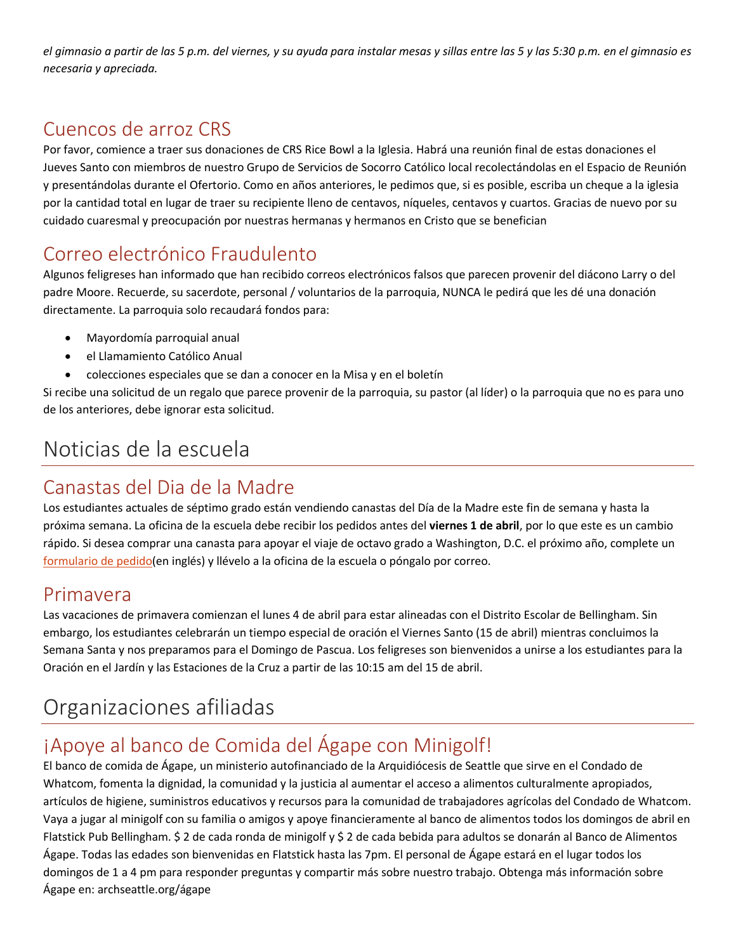el gimnasio a partir de las 5 p.m. del viernes, y su ayuda para instalar mesas y sillas entre las 5 y las 5:30 p.m. en el gimnasio es *necesaria y apreciada.*

### Cuencos de arroz CRS

Por favor, comience a traer sus donaciones de CRS Rice Bowl a la Iglesia. Habrá una reunión final de estas donaciones el Jueves Santo con miembros de nuestro Grupo de Servicios de Socorro Católico local recolectándolas en el Espacio de Reunión y presentándolas durante el Ofertorio. Como en años anteriores, le pedimos que, si es posible, escriba un cheque a la iglesia por la cantidad total en lugar de traer su recipiente lleno de centavos, níqueles, centavos y cuartos. Gracias de nuevo por su cuidado cuaresmal y preocupación por nuestras hermanas y hermanos en Cristo que se benefician

### Correo electrónico Fraudulento

Algunos feligreses han informado que han recibido correos electrónicos falsos que parecen provenir del diácono Larry o del padre Moore. Recuerde, su sacerdote, personal / voluntarios de la parroquia, NUNCA le pedirá que les dé una donación directamente. La parroquia solo recaudará fondos para:

- Mayordomía parroquial anual
- el Llamamiento Católico Anual
- colecciones especiales que se dan a conocer en la Misa y en el boletín

Si recibe una solicitud de un regalo que parece provenir de la parroquia, su pastor (al líder) o la parroquia que no es para uno de los anteriores, debe ignorar esta solicitud.

# Noticias de la escuela

### Canastas del Dia de la Madre

Los estudiantes actuales de séptimo grado están vendiendo canastas del Día de la Madre este fin de semana y hasta la próxima semana. La oficina de la escuela debe recibir los pedidos antes del **viernes 1 de abril**, por lo que este es un cambio rápido. Si desea comprar una canasta para apoyar el viaje de octavo grado a Washington, D.C. el próximo año, complete un [formulario de pedido\(](https://school.assumption.org/wp-content/uploads/2022/03/Hanging-Baskets.pdf)en inglés) y llévelo a la oficina de la escuela o póngalo por correo.

### Primavera

Las vacaciones de primavera comienzan el lunes 4 de abril para estar alineadas con el Distrito Escolar de Bellingham. Sin embargo, los estudiantes celebrarán un tiempo especial de oración el Viernes Santo (15 de abril) mientras concluimos la Semana Santa y nos preparamos para el Domingo de Pascua. Los feligreses son bienvenidos a unirse a los estudiantes para la Oración en el Jardín y las Estaciones de la Cruz a partir de las 10:15 am del 15 de abril.

# Organizaciones afiliadas

### ¡Apoye al banco de Comida del Ágape con Minigolf!

El banco de comida de Ágape, un ministerio autofinanciado de la Arquidiócesis de Seattle que sirve en el Condado de Whatcom, fomenta la dignidad, la comunidad y la justicia al aumentar el acceso a alimentos culturalmente apropiados, artículos de higiene, suministros educativos y recursos para la comunidad de trabajadores agrícolas del Condado de Whatcom. Vaya a jugar al minigolf con su familia o amigos y apoye financieramente al banco de alimentos todos los domingos de abril en Flatstick Pub Bellingham. \$ 2 de cada ronda de minigolf y \$ 2 de cada bebida para adultos se donarán al Banco de Alimentos Ágape. Todas las edades son bienvenidas en Flatstick hasta las 7pm. El personal de Ágape estará en el lugar todos los domingos de 1 a 4 pm para responder preguntas y compartir más sobre nuestro trabajo. Obtenga más información sobre Ágape en: archseattle.org/ágape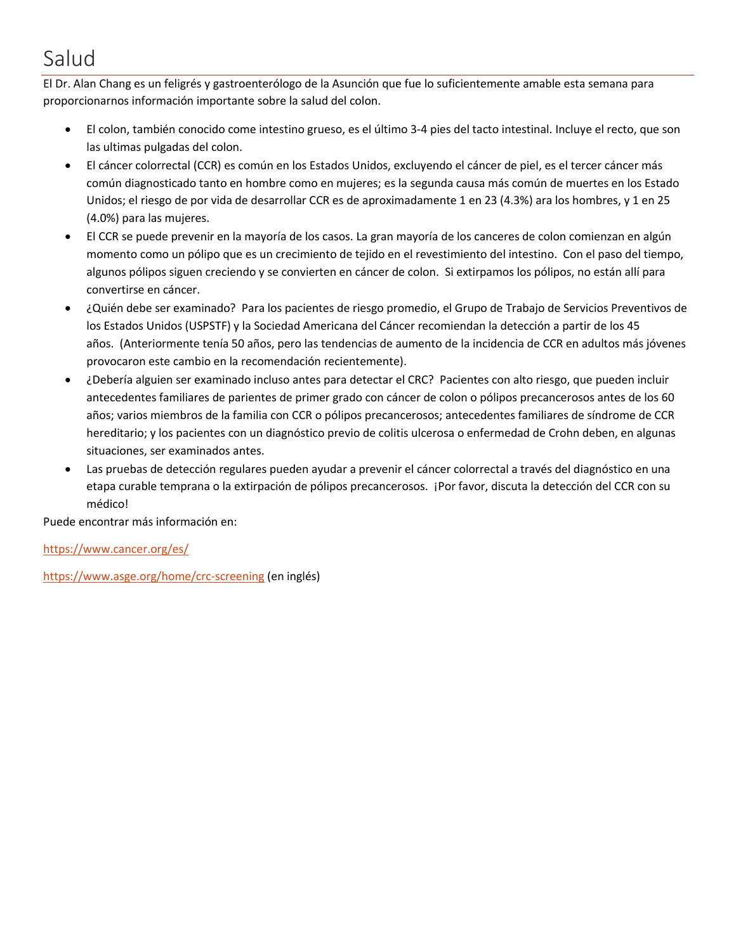# Salud

El Dr. Alan Chang es un feligrés y gastroenterólogo de la Asunción que fue lo suficientemente amable esta semana para proporcionarnos información importante sobre la salud del colon.

- El colon, también conocido come intestino grueso, es el último 3-4 pies del tacto intestinal. Incluye el recto, que son las ultimas pulgadas del colon.
- El cáncer colorrectal (CCR) es común en los Estados Unidos, excluyendo el cáncer de piel, es el tercer cáncer más común diagnosticado tanto en hombre como en mujeres; es la segunda causa más común de muertes en los Estado Unidos; el riesgo de por vida de desarrollar CCR es de aproximadamente 1 en 23 (4.3%) ara los hombres, y 1 en 25 (4.0%) para las mujeres.
- El CCR se puede prevenir en la mayoría de los casos. La gran mayoría de los canceres de colon comienzan en algún momento como un pólipo que es un crecimiento de tejido en el revestimiento del intestino. Con el paso del tiempo, algunos pólipos siguen creciendo y se convierten en cáncer de colon. Si extirpamos los pólipos, no están allí para convertirse en cáncer.
- ¿Quién debe ser examinado? Para los pacientes de riesgo promedio, el Grupo de Trabajo de Servicios Preventivos de los Estados Unidos (USPSTF) y la Sociedad Americana del Cáncer recomiendan la detección a partir de los 45 años. (Anteriormente tenía 50 años, pero las tendencias de aumento de la incidencia de CCR en adultos más jóvenes provocaron este cambio en la recomendación recientemente).
- ¿Debería alguien ser examinado incluso antes para detectar el CRC? Pacientes con alto riesgo, que pueden incluir antecedentes familiares de parientes de primer grado con cáncer de colon o pólipos precancerosos antes de los 60 años; varios miembros de la familia con CCR o pólipos precancerosos; antecedentes familiares de síndrome de CCR hereditario; y los pacientes con un diagnóstico previo de colitis ulcerosa o enfermedad de Crohn deben, en algunas situaciones, ser examinados antes.
- Las pruebas de detección regulares pueden ayudar a prevenir el cáncer colorrectal a través del diagnóstico en una etapa curable temprana o la extirpación de pólipos precancerosos. ¡Por favor, discuta la detección del CCR con su médico!

Puede encontrar más información en:

<https://www.cancer.org/es/>

<https://www.asge.org/home/crc-screening> (en inglés)